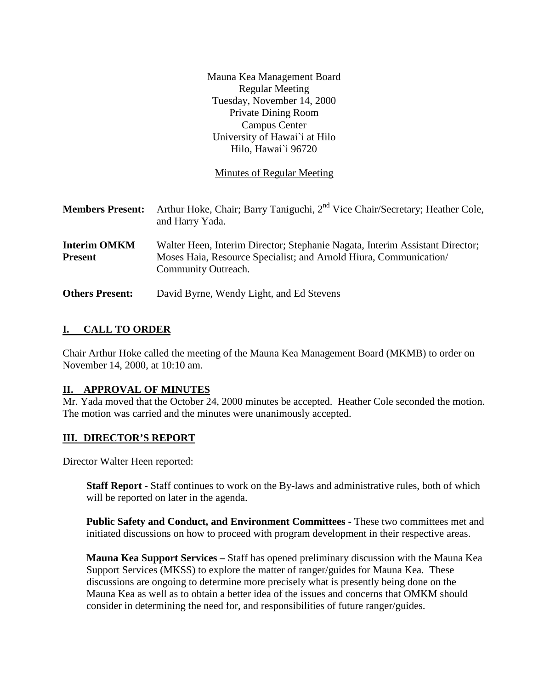|                                       | Mauna Kea Management Board<br><b>Regular Meeting</b><br>Tuesday, November 14, 2000<br><b>Private Dining Room</b><br><b>Campus Center</b><br>University of Hawai'i at Hilo |
|---------------------------------------|---------------------------------------------------------------------------------------------------------------------------------------------------------------------------|
|                                       | Hilo, Hawai`i 96720                                                                                                                                                       |
|                                       | <b>Minutes of Regular Meeting</b>                                                                                                                                         |
| <b>Members Present:</b>               | Arthur Hoke, Chair; Barry Taniguchi, 2 <sup>nd</sup> Vice Chair/Secretary; Heather Cole,<br>and Harry Yada.                                                               |
| <b>Interim OMKM</b><br><b>Present</b> | Walter Heen, Interim Director; Stephanie Nagata, Interim Assistant Director;<br>Moses Haia, Resource Specialist; and Arnold Hiura, Communication/<br>Community Outreach.  |
| <b>Others Present:</b>                | David Byrne, Wendy Light, and Ed Stevens                                                                                                                                  |

# **I. CALL TO ORDER**

Chair Arthur Hoke called the meeting of the Mauna Kea Management Board (MKMB) to order on November 14, 2000, at 10:10 am.

### **II. APPROVAL OF MINUTES**

Mr. Yada moved that the October 24, 2000 minutes be accepted. Heather Cole seconded the motion. The motion was carried and the minutes were unanimously accepted.

### **III. DIRECTOR'S REPORT**

Director Walter Heen reported:

**Staff Report -** Staff continues to work on the By-laws and administrative rules, both of which will be reported on later in the agenda.

**Public Safety and Conduct, and Environment Committees -** These two committees met and initiated discussions on how to proceed with program development in their respective areas.

**Mauna Kea Support Services –** Staff has opened preliminary discussion with the Mauna Kea Support Services (MKSS) to explore the matter of ranger/guides for Mauna Kea. These discussions are ongoing to determine more precisely what is presently being done on the Mauna Kea as well as to obtain a better idea of the issues and concerns that OMKM should consider in determining the need for, and responsibilities of future ranger/guides.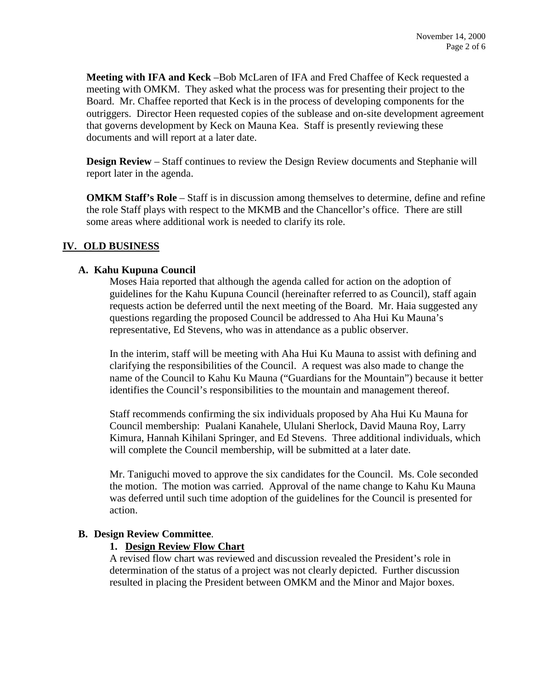**Meeting with IFA and Keck** –Bob McLaren of IFA and Fred Chaffee of Keck requested a meeting with OMKM. They asked what the process was for presenting their project to the Board. Mr. Chaffee reported that Keck is in the process of developing components for the outriggers. Director Heen requested copies of the sublease and on-site development agreement that governs development by Keck on Mauna Kea. Staff is presently reviewing these documents and will report at a later date.

**Design Review** – Staff continues to review the Design Review documents and Stephanie will report later in the agenda.

**OMKM Staff's Role** – Staff is in discussion among themselves to determine, define and refine the role Staff plays with respect to the MKMB and the Chancellor's office. There are still some areas where additional work is needed to clarify its role.

### **IV. OLD BUSINESS**

#### **A. Kahu Kupuna Council**

Moses Haia reported that although the agenda called for action on the adoption of guidelines for the Kahu Kupuna Council (hereinafter referred to as Council), staff again requests action be deferred until the next meeting of the Board. Mr. Haia suggested any questions regarding the proposed Council be addressed to Aha Hui Ku Mauna's representative, Ed Stevens, who was in attendance as a public observer.

In the interim, staff will be meeting with Aha Hui Ku Mauna to assist with defining and clarifying the responsibilities of the Council. A request was also made to change the name of the Council to Kahu Ku Mauna ("Guardians for the Mountain") because it better identifies the Council's responsibilities to the mountain and management thereof.

Staff recommends confirming the six individuals proposed by Aha Hui Ku Mauna for Council membership: Pualani Kanahele, Ululani Sherlock, David Mauna Roy, Larry Kimura, Hannah Kihilani Springer, and Ed Stevens. Three additional individuals, which will complete the Council membership, will be submitted at a later date.

Mr. Taniguchi moved to approve the six candidates for the Council. Ms. Cole seconded the motion. The motion was carried. Approval of the name change to Kahu Ku Mauna was deferred until such time adoption of the guidelines for the Council is presented for action.

### **B. Design Review Committee**.

### **1. Design Review Flow Chart**

A revised flow chart was reviewed and discussion revealed the President's role in determination of the status of a project was not clearly depicted. Further discussion resulted in placing the President between OMKM and the Minor and Major boxes.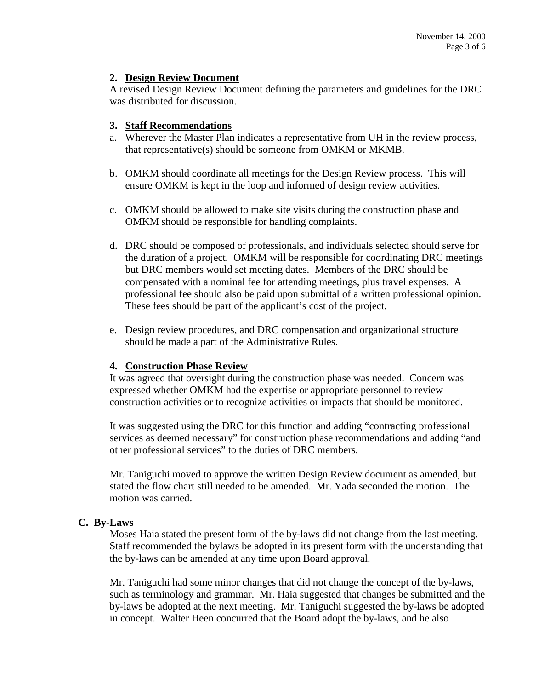### **2. Design Review Document**

A revised Design Review Document defining the parameters and guidelines for the DRC was distributed for discussion.

### **3. Staff Recommendations**

- a. Wherever the Master Plan indicates a representative from UH in the review process, that representative(s) should be someone from OMKM or MKMB.
- b. OMKM should coordinate all meetings for the Design Review process. This will ensure OMKM is kept in the loop and informed of design review activities.
- c. OMKM should be allowed to make site visits during the construction phase and OMKM should be responsible for handling complaints.
- d. DRC should be composed of professionals, and individuals selected should serve for the duration of a project. OMKM will be responsible for coordinating DRC meetings but DRC members would set meeting dates. Members of the DRC should be compensated with a nominal fee for attending meetings, plus travel expenses. A professional fee should also be paid upon submittal of a written professional opinion. These fees should be part of the applicant's cost of the project.
- e. Design review procedures, and DRC compensation and organizational structure should be made a part of the Administrative Rules.

### **4. Construction Phase Review**

It was agreed that oversight during the construction phase was needed. Concern was expressed whether OMKM had the expertise or appropriate personnel to review construction activities or to recognize activities or impacts that should be monitored.

It was suggested using the DRC for this function and adding "contracting professional services as deemed necessary" for construction phase recommendations and adding "and other professional services" to the duties of DRC members.

Mr. Taniguchi moved to approve the written Design Review document as amended, but stated the flow chart still needed to be amended. Mr. Yada seconded the motion. The motion was carried.

### **C. By-Laws**

Moses Haia stated the present form of the by-laws did not change from the last meeting. Staff recommended the bylaws be adopted in its present form with the understanding that the by-laws can be amended at any time upon Board approval.

Mr. Taniguchi had some minor changes that did not change the concept of the by-laws, such as terminology and grammar. Mr. Haia suggested that changes be submitted and the by-laws be adopted at the next meeting. Mr. Taniguchi suggested the by-laws be adopted in concept. Walter Heen concurred that the Board adopt the by-laws, and he also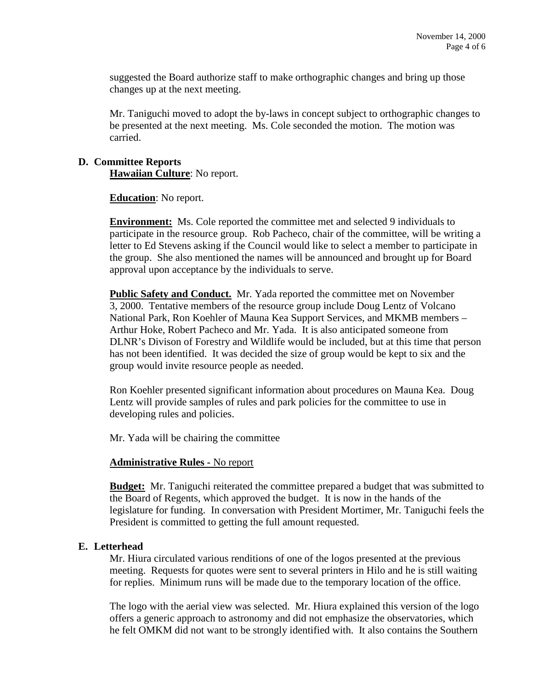suggested the Board authorize staff to make orthographic changes and bring up those changes up at the next meeting.

Mr. Taniguchi moved to adopt the by-laws in concept subject to orthographic changes to be presented at the next meeting. Ms. Cole seconded the motion. The motion was carried.

### **D. Committee Reports**

**Hawaiian Culture**: No report.

**Education**: No report.

**Environment:** Ms. Cole reported the committee met and selected 9 individuals to participate in the resource group. Rob Pacheco, chair of the committee, will be writing a letter to Ed Stevens asking if the Council would like to select a member to participate in the group. She also mentioned the names will be announced and brought up for Board approval upon acceptance by the individuals to serve.

**Public Safety and Conduct.** Mr. Yada reported the committee met on November 3, 2000. Tentative members of the resource group include Doug Lentz of Volcano National Park, Ron Koehler of Mauna Kea Support Services, and MKMB members – Arthur Hoke, Robert Pacheco and Mr. Yada. It is also anticipated someone from DLNR's Divison of Forestry and Wildlife would be included, but at this time that person has not been identified. It was decided the size of group would be kept to six and the group would invite resource people as needed.

Ron Koehler presented significant information about procedures on Mauna Kea. Doug Lentz will provide samples of rules and park policies for the committee to use in developing rules and policies.

Mr. Yada will be chairing the committee

#### **Administrative Rules -** No report

**Budget:** Mr. Taniguchi reiterated the committee prepared a budget that was submitted to the Board of Regents, which approved the budget. It is now in the hands of the legislature for funding. In conversation with President Mortimer, Mr. Taniguchi feels the President is committed to getting the full amount requested.

### **E. Letterhead**

Mr. Hiura circulated various renditions of one of the logos presented at the previous meeting. Requests for quotes were sent to several printers in Hilo and he is still waiting for replies. Minimum runs will be made due to the temporary location of the office.

The logo with the aerial view was selected. Mr. Hiura explained this version of the logo offers a generic approach to astronomy and did not emphasize the observatories, which he felt OMKM did not want to be strongly identified with. It also contains the Southern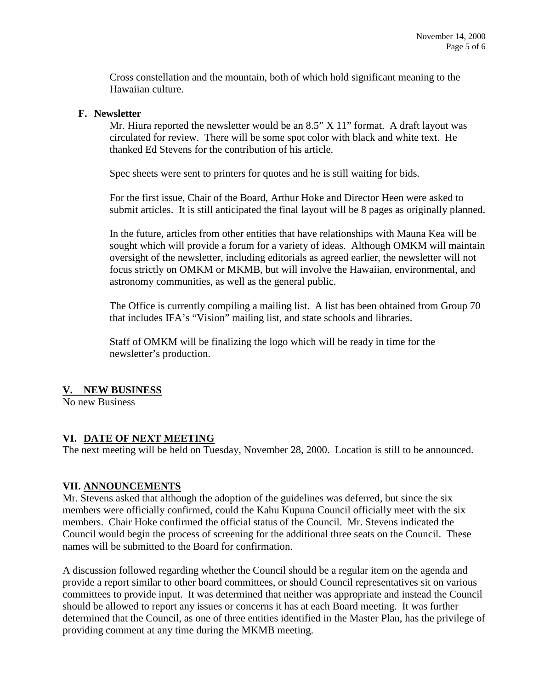Cross constellation and the mountain, both of which hold significant meaning to the Hawaiian culture.

#### **F. Newsletter**

Mr. Hiura reported the newsletter would be an  $8.5$ "  $X$  11" format. A draft layout was circulated for review. There will be some spot color with black and white text. He thanked Ed Stevens for the contribution of his article.

Spec sheets were sent to printers for quotes and he is still waiting for bids.

For the first issue, Chair of the Board, Arthur Hoke and Director Heen were asked to submit articles. It is still anticipated the final layout will be 8 pages as originally planned.

In the future, articles from other entities that have relationships with Mauna Kea will be sought which will provide a forum for a variety of ideas. Although OMKM will maintain oversight of the newsletter, including editorials as agreed earlier, the newsletter will not focus strictly on OMKM or MKMB, but will involve the Hawaiian, environmental, and astronomy communities, as well as the general public.

The Office is currently compiling a mailing list. A list has been obtained from Group 70 that includes IFA's "Vision" mailing list, and state schools and libraries.

Staff of OMKM will be finalizing the logo which will be ready in time for the newsletter's production.

# **V. NEW BUSINESS**

No new Business

# **VI. DATE OF NEXT MEETING**

The next meeting will be held on Tuesday, November 28, 2000. Location is still to be announced.

### **VII. ANNOUNCEMENTS**

Mr. Stevens asked that although the adoption of the guidelines was deferred, but since the six members were officially confirmed, could the Kahu Kupuna Council officially meet with the six members. Chair Hoke confirmed the official status of the Council. Mr. Stevens indicated the Council would begin the process of screening for the additional three seats on the Council. These names will be submitted to the Board for confirmation.

A discussion followed regarding whether the Council should be a regular item on the agenda and provide a report similar to other board committees, or should Council representatives sit on various committees to provide input. It was determined that neither was appropriate and instead the Council should be allowed to report any issues or concerns it has at each Board meeting. It was further determined that the Council, as one of three entities identified in the Master Plan, has the privilege of providing comment at any time during the MKMB meeting.